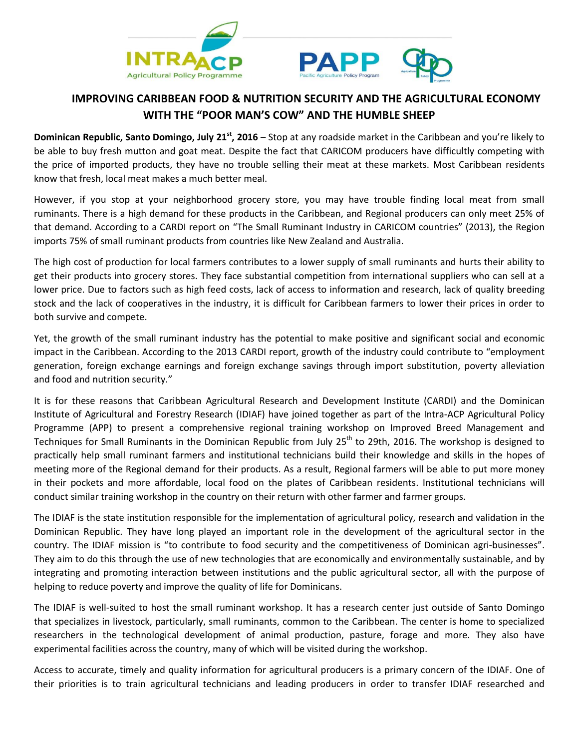



## **IMPROVING CARIBBEAN FOOD & NUTRITION SECURITY AND THE AGRICULTURAL ECONOMY WITH THE "POOR MAN'S COW" AND THE HUMBLE SHEEP**

**Dominican Republic, Santo Domingo, July 21<sup>st</sup>, 2016 – Stop at any roadside market in the Caribbean and you're likely to** be able to buy fresh mutton and goat meat. Despite the fact that CARICOM producers have difficultly competing with the price of imported products, they have no trouble selling their meat at these markets. Most Caribbean residents know that fresh, local meat makes a much better meal.

However, if you stop at your neighborhood grocery store, you may have trouble finding local meat from small ruminants. There is a high demand for these products in the Caribbean, and Regional producers can only meet 25% of that demand. According to a CARDI report on "The Small Ruminant Industry in CARICOM countries" (2013), the Region imports 75% of small ruminant products from countries like New Zealand and Australia.

The high cost of production for local farmers contributes to a lower supply of small ruminants and hurts their ability to get their products into grocery stores. They face substantial competition from international suppliers who can sell at a lower price. Due to factors such as high feed costs, lack of access to information and research, lack of quality breeding stock and the lack of cooperatives in the industry, it is difficult for Caribbean farmers to lower their prices in order to both survive and compete.

Yet, the growth of the small ruminant industry has the potential to make positive and significant social and economic impact in the Caribbean. According to the 2013 CARDI report, growth of the industry could contribute to "employment generation, foreign exchange earnings and foreign exchange savings through import substitution, poverty alleviation and food and nutrition security."

It is for these reasons that Caribbean Agricultural Research and Development Institute (CARDI) and the Dominican Institute of Agricultural and Forestry Research (IDIAF) have joined together as part of the Intra-ACP Agricultural Policy Programme (APP) to present a comprehensive regional training workshop on Improved Breed Management and Techniques for Small Ruminants in the Dominican Republic from July 25<sup>th</sup> to 29th, 2016. The workshop is designed to practically help small ruminant farmers and institutional technicians build their knowledge and skills in the hopes of meeting more of the Regional demand for their products. As a result, Regional farmers will be able to put more money in their pockets and more affordable, local food on the plates of Caribbean residents. Institutional technicians will conduct similar training workshop in the country on their return with other farmer and farmer groups.

The IDIAF is the state institution responsible for the implementation of agricultural policy, research and validation in the Dominican Republic. They have long played an important role in the development of the agricultural sector in the country. The IDIAF mission is "to contribute to food security and the competitiveness of Dominican agri-businesses". They aim to do this through the use of new technologies that are economically and environmentally sustainable, and by integrating and promoting interaction between institutions and the public agricultural sector, all with the purpose of helping to reduce poverty and improve the quality of life for Dominicans.

The IDIAF is well-suited to host the small ruminant workshop. It has a research center just outside of Santo Domingo that specializes in livestock, particularly, small ruminants, common to the Caribbean. The center is home to specialized researchers in the technological development of animal production, pasture, forage and more. They also have experimental facilities across the country, many of which will be visited during the workshop.

Access to accurate, timely and quality information for agricultural producers is a primary concern of the IDIAF. One of their priorities is to train agricultural technicians and leading producers in order to transfer IDIAF researched and